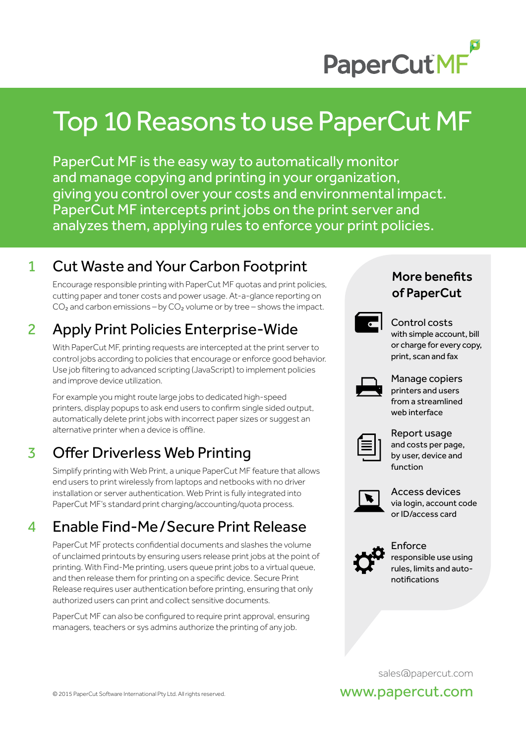

# Top 10 Reasons to use PaperCut MF

PaperCut MF is the easy way to automatically monitor and manage copying and printing in your organization, giving you control over your costs and environmental impact. PaperCut MF intercepts print jobs on the print server and analyzes them, applying rules to enforce your print policies.

#### 1 Cut Waste and Your Carbon Footprint

 Encourage responsible printing with PaperCut MF quotas and print policies, cutting paper and toner costs and power usage. At-a-glance reporting on  $CO<sub>2</sub>$  and carbon emissions – by  $CO<sub>2</sub>$  volume or by tree – shows the impact.

## 2 Apply Print Policies Enterprise-Wide

 With PaperCut MF, printing requests are intercepted at the print server to control jobs according to policies that encourage or enforce good behavior. Use job filtering to advanced scripting (JavaScript) to implement policies and improve device utilization.

 For example you might route large jobs to dedicated high-speed printers, display popups to ask end users to confirm single sided output, automatically delete print jobs with incorrect paper sizes or suggest an alternative printer when a device is offline.

#### 3 Offer Driverless Web Printing

Simplify printing with Web Print, a unique PaperCut MF feature that allows end users to print wirelessly from laptops and netbooks with no driver installation or server authentication. Web Print is fully integrated into PaperCut MF's standard print charging/accounting/quota process.

#### 4 Enable Find-Me/Secure Print Release

PaperCut MF protects confidential documents and slashes the volume of unclaimed printouts by ensuring users release print jobs at the point of printing. With Find-Me printing, users queue print jobs to a virtual queue, and then release them for printing on a specific device. Secure Print Release requires user authentication before printing, ensuring that only authorized users can print and collect sensitive documents.

PaperCut MF can also be configured to require print approval, ensuring managers, teachers or sys admins authorize the printing of any job.

#### More benefits of PaperCut



 Control costs with simple account, bill or charge for every copy, print, scan and fax



 Manage copiers printers and users from a streamlined web interface

 Report usage and costs per page, by user, device and function



 Access devices via login, account code or ID/access card



 Enforce responsible use using rules, limits and autonotifications

sales@papercut.com